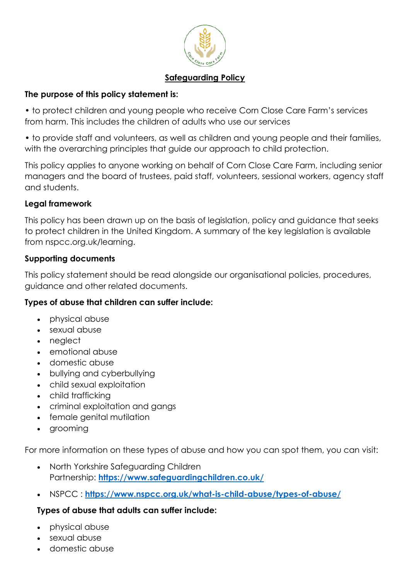

## **Safeguarding Policy**

## **The purpose of this policy statement is:**

• to protect children and young people who receive Corn Close Care Farm's services from harm. This includes the children of adults who use our services

• to provide staff and volunteers, as well as children and young people and their families, with the overarching principles that guide our approach to child protection.

This policy applies to anyone working on behalf of Corn Close Care Farm, including senior managers and the board of trustees, paid staff, volunteers, sessional workers, agency staff and students.

### **Legal framework**

This policy has been drawn up on the basis of legislation, policy and guidance that seeks to protect children in the United Kingdom. A summary of the key legislation is available from nspcc.org.uk/learning.

### **Supporting documents**

This policy statement should be read alongside our organisational policies, procedures, guidance and other related documents.

## **Types of abuse that children can suffer include:**

- physical abuse
- sexual abuse
- neglect
- emotional abuse
- domestic abuse
- bullying and cyberbullying
- child sexual exploitation
- child trafficking
- criminal exploitation and gangs
- female genital mutilation
- grooming

For more information on these types of abuse and how you can spot them, you can visit:

- North Yorkshire Safeguarding Children Partnership: **<https://www.safeguardingchildren.co.uk/>**
- NSPCC : **<https://www.nspcc.org.uk/what-is-child-abuse/types-of-abuse/>**

## **Types of abuse that adults can suffer include:**

- physical abuse
- sexual abuse
- domestic abuse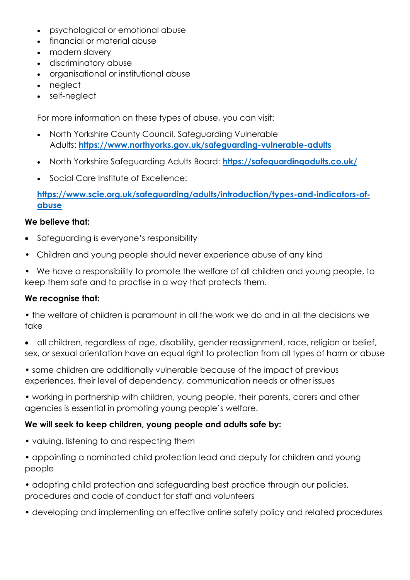- psychological or emotional abuse
- financial or material abuse
- modern slavery
- discriminatory abuse
- organisational or institutional abuse
- neglect
- self-neglect

For more information on these types of abuse, you can visit:

- North Yorkshire County Council, Safeguarding Vulnerable Adults: **<https://www.northyorks.gov.uk/safeguarding-vulnerable-adults>**
- North Yorkshire Safeguarding Adults Board: **<https://safeguardingadults.co.uk/>**
- Social Care Institute of Excellence:

## **[https://www.scie.org.uk/safeguarding/adults/introduction/types-and-indicators-of](https://www.scie.org.uk/safeguarding/adults/introduction/types-and-indicators-of-abuse)[abuse](https://www.scie.org.uk/safeguarding/adults/introduction/types-and-indicators-of-abuse)**

### **We believe that:**

- Safeguarding is everyone's responsibility
- Children and young people should never experience abuse of any kind
- We have a responsibility to promote the welfare of all children and young people, to keep them safe and to practise in a way that protects them.

#### **We recognise that:**

- the welfare of children is paramount in all the work we do and in all the decisions we take
- all children, regardless of age, disability, gender reassignment, race, religion or belief, sex, or sexual orientation have an equal right to protection from all types of harm or abuse
- some children are additionally vulnerable because of the impact of previous experiences, their level of dependency, communication needs or other issues
- working in partnership with children, young people, their parents, carers and other agencies is essential in promoting young people's welfare.

#### **We will seek to keep children, young people and adults safe by:**

- valuing, listening to and respecting them
- appointing a nominated child protection lead and deputy for children and young people
- adopting child protection and safeguarding best practice through our policies, procedures and code of conduct for staff and volunteers
- developing and implementing an effective online safety policy and related procedures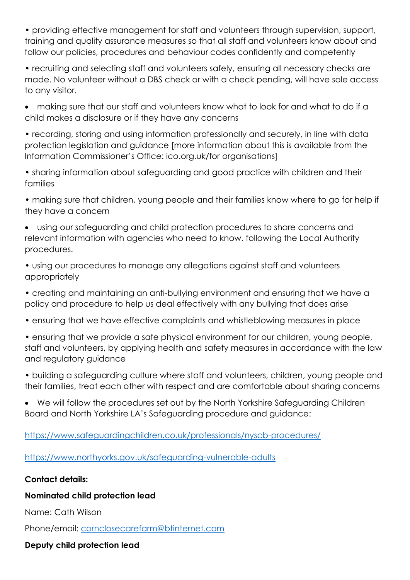• providing effective management for staff and volunteers through supervision, support, training and quality assurance measures so that all staff and volunteers know about and follow our policies, procedures and behaviour codes confidently and competently

• recruiting and selecting staff and volunteers safely, ensuring all necessary checks are made. No volunteer without a DBS check or with a check pending, will have sole access to any visitor.

• making sure that our staff and volunteers know what to look for and what to do if a child makes a disclosure or if they have any concerns

• recording, storing and using information professionally and securely, in line with data protection legislation and guidance [more information about this is available from the Information Commissioner's Office: ico.org.uk/for organisations]

• sharing information about safeguarding and good practice with children and their families

• making sure that children, young people and their families know where to go for help if they have a concern

• using our safeguarding and child protection procedures to share concerns and relevant information with agencies who need to know, following the Local Authority procedures.

• using our procedures to manage any allegations against staff and volunteers appropriately

• creating and maintaining an anti-bullying environment and ensuring that we have a policy and procedure to help us deal effectively with any bullying that does arise

• ensuring that we have effective complaints and whistleblowing measures in place

• ensuring that we provide a safe physical environment for our children, young people, staff and volunteers, by applying health and safety measures in accordance with the law and regulatory guidance

• building a safeguarding culture where staff and volunteers, children, young people and their families, treat each other with respect and are comfortable about sharing concerns

• We will follow the procedures set out by the North Yorkshire Safeguarding Children Board and North Yorkshire LA's Safeguarding procedure and guidance:

<https://www.safeguardingchildren.co.uk/professionals/nyscb-procedures/>

<https://www.northyorks.gov.uk/safeguarding-vulnerable-adults>

## **Contact details:**

# **Nominated child protection lead**

Name: Cath Wilson

Phone/email: [cornclosecarefarm@btinternet.com](mailto:cornclosecarefarm@btinternet.com)

# **Deputy child protection lead**